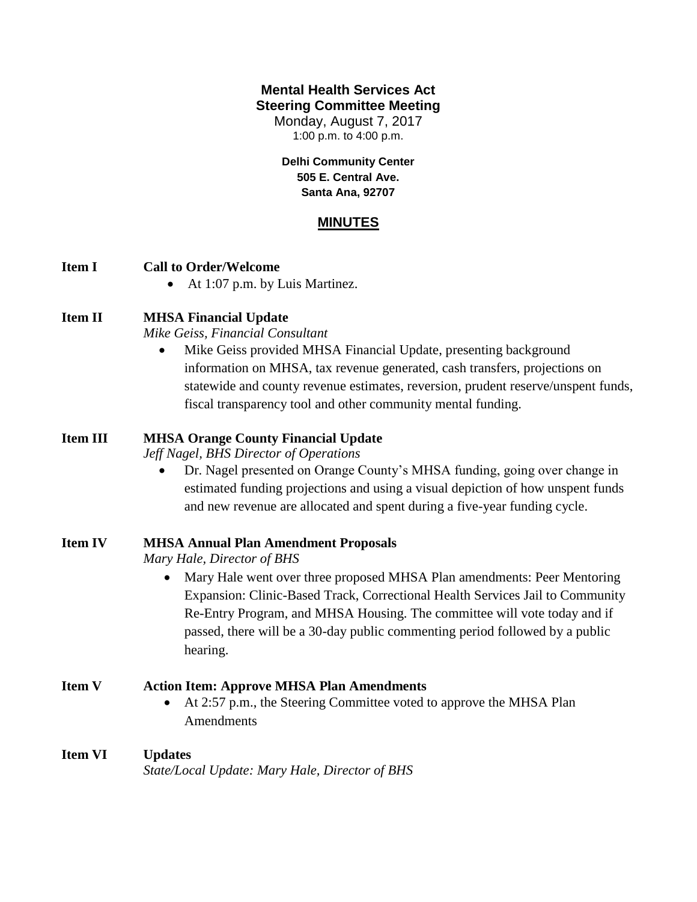## **Mental Health Services Act Steering Committee Meeting**

Monday, August 7, 2017 1:00 p.m. to 4:00 p.m.

**Delhi Community Center 505 E. Central Ave. Santa Ana, 92707**

## **MINUTES**

#### **Item I Call to Order/Welcome**

• At 1:07 p.m. by Luis Martinez.

### **Item II MHSA Financial Update**

*Mike Geiss, Financial Consultant*

 Mike Geiss provided MHSA Financial Update, presenting background information on MHSA, tax revenue generated, cash transfers, projections on statewide and county revenue estimates, reversion, prudent reserve/unspent funds, fiscal transparency tool and other community mental funding.

#### **Item III MHSA Orange County Financial Update**

*Jeff Nagel, BHS Director of Operations*

 Dr. Nagel presented on Orange County's MHSA funding, going over change in estimated funding projections and using a visual depiction of how unspent funds and new revenue are allocated and spent during a five-year funding cycle.

#### **Item IV MHSA Annual Plan Amendment Proposals**

*Mary Hale, Director of BHS*

• Mary Hale went over three proposed MHSA Plan amendments: Peer Mentoring Expansion: Clinic-Based Track, Correctional Health Services Jail to Community Re-Entry Program, and MHSA Housing. The committee will vote today and if passed, there will be a 30-day public commenting period followed by a public hearing.

## **Item V Action Item: Approve MHSA Plan Amendments**

 At 2:57 p.m., the Steering Committee voted to approve the MHSA Plan Amendments

#### **Item VI Updates**

*State/Local Update: Mary Hale, Director of BHS*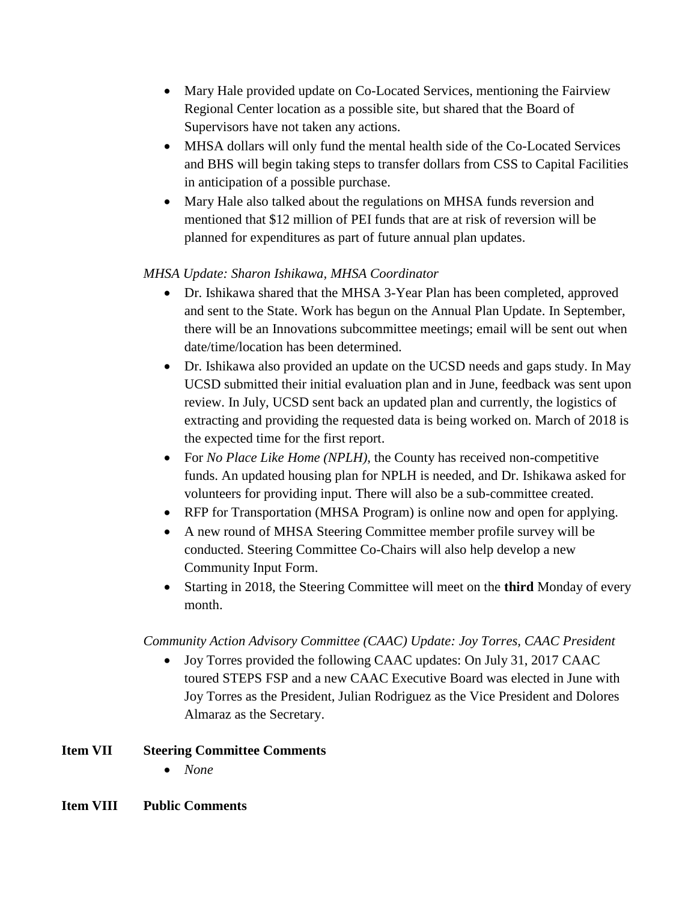- Mary Hale provided update on Co-Located Services, mentioning the Fairview Regional Center location as a possible site, but shared that the Board of Supervisors have not taken any actions.
- MHSA dollars will only fund the mental health side of the Co-Located Services and BHS will begin taking steps to transfer dollars from CSS to Capital Facilities in anticipation of a possible purchase.
- Mary Hale also talked about the regulations on MHSA funds reversion and mentioned that \$12 million of PEI funds that are at risk of reversion will be planned for expenditures as part of future annual plan updates.

## *MHSA Update: Sharon Ishikawa, MHSA Coordinator*

- Dr. Ishikawa shared that the MHSA 3-Year Plan has been completed, approved and sent to the State. Work has begun on the Annual Plan Update. In September, there will be an Innovations subcommittee meetings; email will be sent out when date/time/location has been determined.
- Dr. Ishikawa also provided an update on the UCSD needs and gaps study. In May UCSD submitted their initial evaluation plan and in June, feedback was sent upon review. In July, UCSD sent back an updated plan and currently, the logistics of extracting and providing the requested data is being worked on. March of 2018 is the expected time for the first report.
- For *No Place Like Home (NPLH)*, the County has received non-competitive funds. An updated housing plan for NPLH is needed, and Dr. Ishikawa asked for volunteers for providing input. There will also be a sub-committee created.
- RFP for Transportation (MHSA Program) is online now and open for applying.
- A new round of MHSA Steering Committee member profile survey will be conducted. Steering Committee Co-Chairs will also help develop a new Community Input Form.
- Starting in 2018, the Steering Committee will meet on the **third** Monday of every month.

# *Community Action Advisory Committee (CAAC) Update: Joy Torres, CAAC President*

 Joy Torres provided the following CAAC updates: On July 31, 2017 CAAC toured STEPS FSP and a new CAAC Executive Board was elected in June with Joy Torres as the President, Julian Rodriguez as the Vice President and Dolores Almaraz as the Secretary.

## **Item VII Steering Committee Comments**

*None*

## **Item VIII Public Comments**